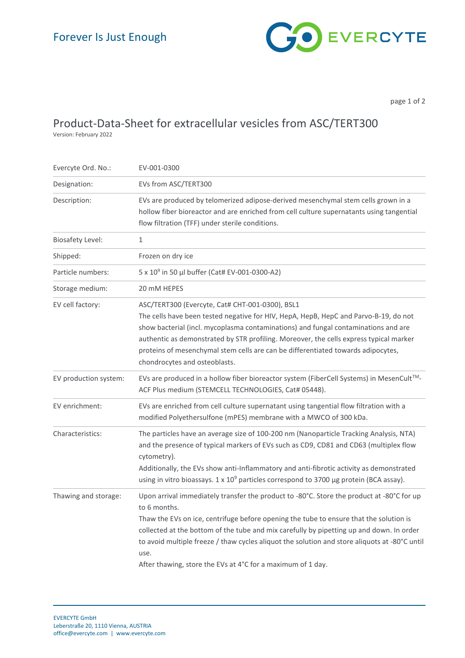

page 1 of 2

## Product-Data-Sheet for extracellular vesicles from ASC/TERT300

Version: February 2022

| Evercyte Ord. No.:      | EV-001-0300                                                                                                                                                                                                                                                                                                                                                                                                                                                             |
|-------------------------|-------------------------------------------------------------------------------------------------------------------------------------------------------------------------------------------------------------------------------------------------------------------------------------------------------------------------------------------------------------------------------------------------------------------------------------------------------------------------|
| Designation:            | EVs from ASC/TERT300                                                                                                                                                                                                                                                                                                                                                                                                                                                    |
| Description:            | EVs are produced by telomerized adipose-derived mesenchymal stem cells grown in a<br>hollow fiber bioreactor and are enriched from cell culture supernatants using tangential<br>flow filtration (TFF) under sterile conditions.                                                                                                                                                                                                                                        |
| <b>Biosafety Level:</b> | $\mathbf{1}$                                                                                                                                                                                                                                                                                                                                                                                                                                                            |
| Shipped:                | Frozen on dry ice                                                                                                                                                                                                                                                                                                                                                                                                                                                       |
| Particle numbers:       | 5 x 10 <sup>9</sup> in 50 µl buffer (Cat# EV-001-0300-A2)                                                                                                                                                                                                                                                                                                                                                                                                               |
| Storage medium:         | 20 mM HEPES                                                                                                                                                                                                                                                                                                                                                                                                                                                             |
| EV cell factory:        | ASC/TERT300 (Evercyte, Cat# CHT-001-0300), BSL1<br>The cells have been tested negative for HIV, HepA, HepB, HepC and Parvo-B-19, do not<br>show bacterial (incl. mycoplasma contaminations) and fungal contaminations and are<br>authentic as demonstrated by STR profiling. Moreover, the cells express typical marker<br>proteins of mesenchymal stem cells are can be differentiated towards adipocytes,<br>chondrocytes and osteoblasts.                            |
| EV production system:   | EVs are produced in a hollow fiber bioreactor system (FiberCell Systems) in MesenCult™-<br>ACF Plus medium (STEMCELL TECHNOLOGIES, Cat# 05448).                                                                                                                                                                                                                                                                                                                         |
| EV enrichment:          | EVs are enriched from cell culture supernatant using tangential flow filtration with a<br>modified Polyethersulfone (mPES) membrane with a MWCO of 300 kDa.                                                                                                                                                                                                                                                                                                             |
| Characteristics:        | The particles have an average size of 100-200 nm (Nanoparticle Tracking Analysis, NTA)<br>and the presence of typical markers of EVs such as CD9, CD81 and CD63 (multiplex flow<br>cytometry).<br>Additionally, the EVs show anti-Inflammatory and anti-fibrotic activity as demonstrated<br>using in vitro bioassays. 1 x 10 <sup>9</sup> particles correspond to 3700 µg protein (BCA assay).                                                                         |
| Thawing and storage:    | Upon arrival immediately transfer the product to -80°C. Store the product at -80°C for up<br>to 6 months.<br>Thaw the EVs on ice, centrifuge before opening the tube to ensure that the solution is<br>collected at the bottom of the tube and mix carefully by pipetting up and down. In order<br>to avoid multiple freeze / thaw cycles aliquot the solution and store aliquots at -80°C until<br>use.<br>After thawing, store the EVs at 4°C for a maximum of 1 day. |